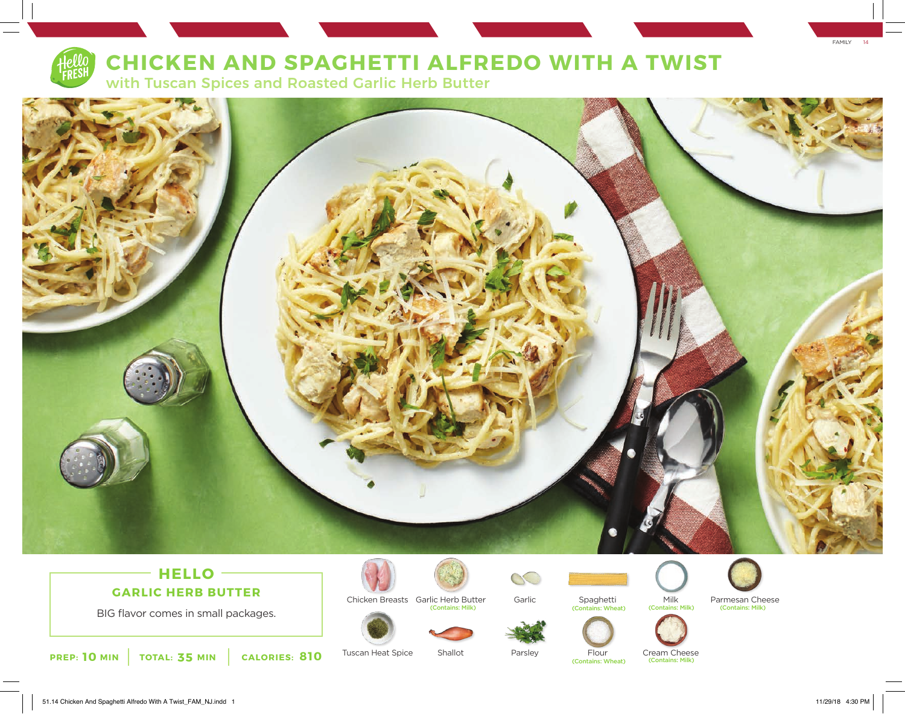

## **CHICKEN AND SPAGHETTI ALFREDO WITH A TWIST**

with Tuscan Spices and Roasted Garlic Herb Butter



## $-$  **HELLO**  $-$ **GARLIC HERB BUTTER**

BIG flavor comes in small packages.



Chicken Breasts Garlic Herb Butter (Contains: Milk) (Contains: Milk) (Contains: Wheat)



Parsley



Spaghetti



Parmesan Cheese (Contains: Milk)



Tuscan Heat Spice

Shallot

Flour (Contains: Wheat)

Cream Cheese

(Contains: Milk)

51.14 Chicken And Spaghetti Alfredo With A Twist\_FAM\_NJ.indd 1 11/29/18 4:30 PM

14 FAMILY